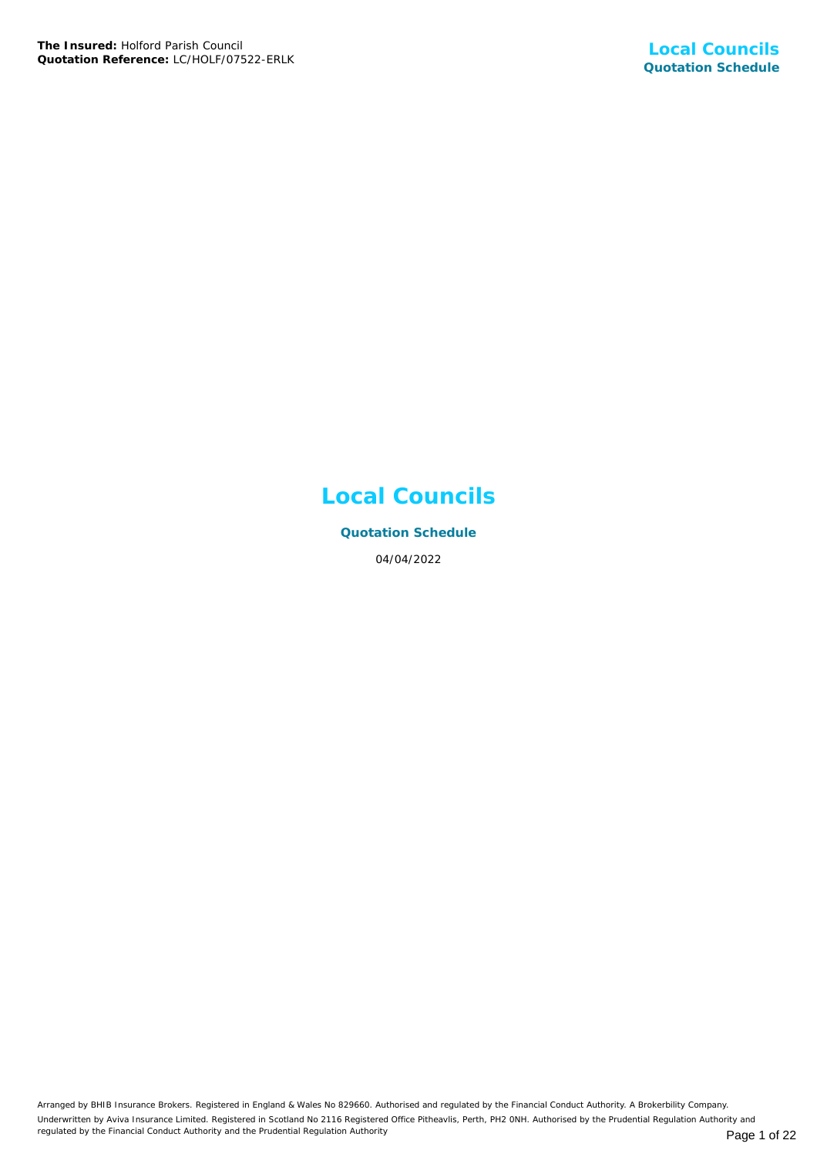## **Local Councils**

**Quotation Schedule** 04/04/2022

Arranged by BHIB Insurance Brokers. Registered in England & Wales No 829660. Authorised and regulated by the Financial Conduct Authority. A Brokerbility Company. Underwritten by Aviva Insurance Limited. Registered in Scotland No 2116 Registered Office Pitheavlis, Perth, PH2 0NH. Authorised by the Prudential Regulation Authority and regulated by the Financial Conduct Authority and the Prudential Regulation Authority **Page 1 of 22** Page 1 of 22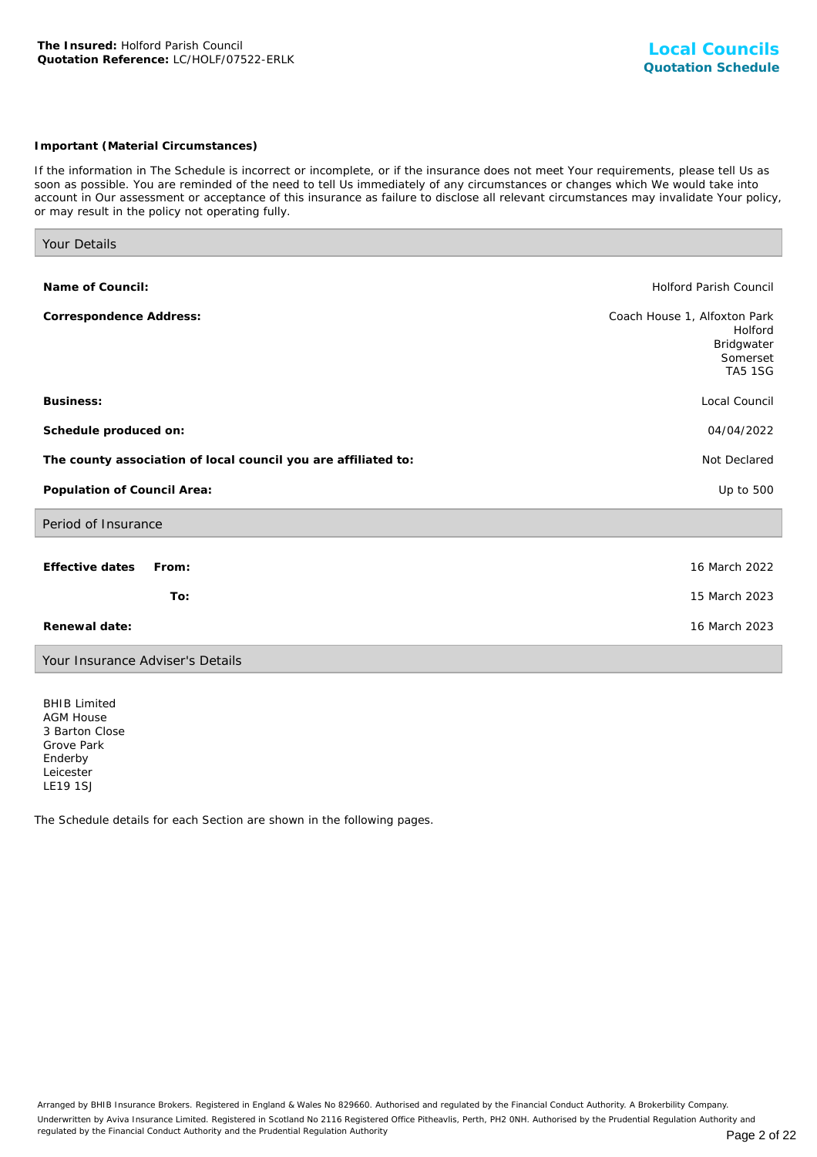## *Important (Material Circumstances)*

*If the information in The Schedule is incorrect or incomplete, or if the insurance does not meet Your requirements, please tell Us as soon as possible. You are reminded of the need to tell Us immediately of any circumstances or changes which We would take into account in Our assessment or acceptance of this insurance as failure to disclose all relevant circumstances may invalidate Your policy, or may result in the policy not operating fully.*

| Your Details                                                   |                                                                                     |
|----------------------------------------------------------------|-------------------------------------------------------------------------------------|
|                                                                |                                                                                     |
| Name of Council:                                               | <b>Holford Parish Council</b>                                                       |
| Correspondence Address:                                        | Coach House 1, Alfoxton Park<br>Holford<br>Bridgwater<br>Somerset<br><b>TA5 1SG</b> |
| Business:                                                      | Local Council                                                                       |
| Schedule produced on:                                          | 04/04/2022                                                                          |
| The county association of local council you are affiliated to: | Not Declared                                                                        |
| Population of Council Area:                                    | Up to 500                                                                           |
| Period of Insurance                                            |                                                                                     |
| Effective dates<br>From:<br>To:                                | 16 March 2022<br>15 March 2023                                                      |
|                                                                |                                                                                     |
| Renewal date:                                                  | 16 March 2023                                                                       |
| Your Insurance Adviser's Details                               |                                                                                     |

BHIB Limited AGM House 3 Barton Close Grove Park Enderby Leicester LE19 1SJ

The Schedule details for each Section are shown in the following pages.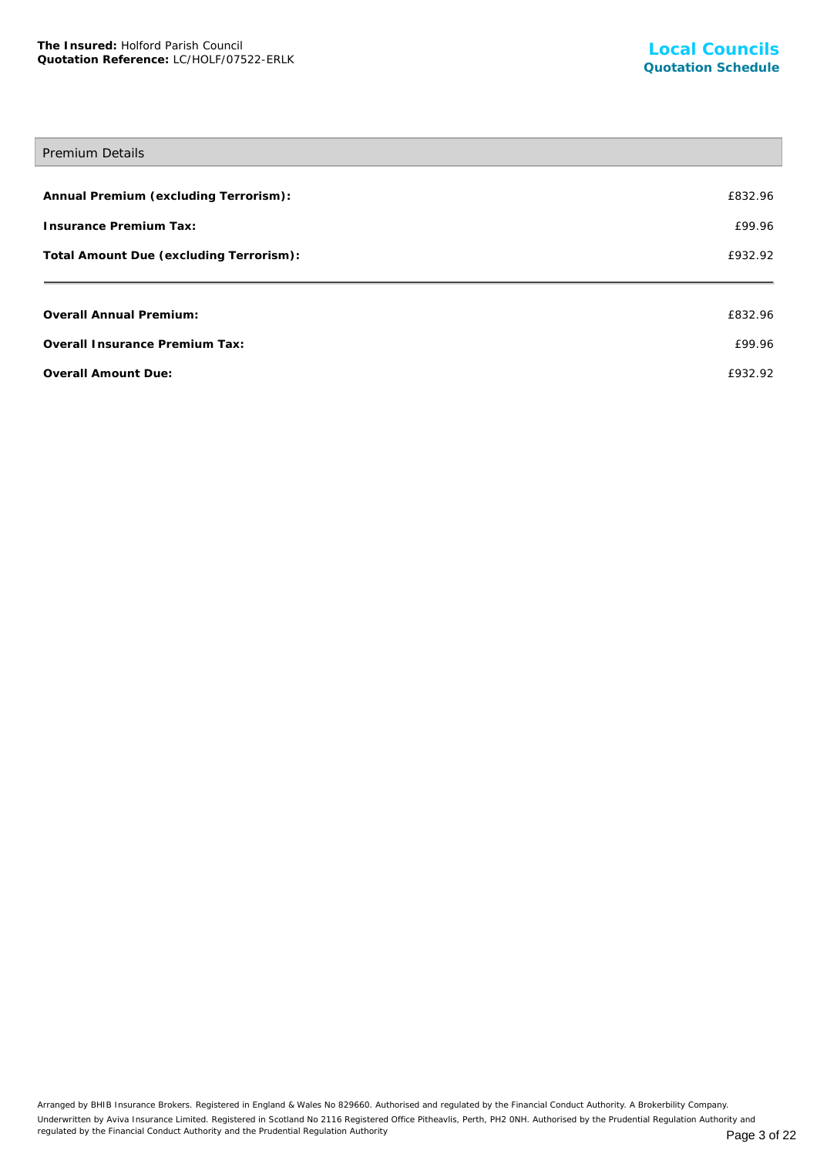# Premium Details **Annual Premium (excluding Terrorism):** £832.96 **Insurance Premium Tax:** £99.96 **Total Amount Due (excluding Terrorism):** £932.92 **Overall Annual Premium:** £832.96 **Overall Insurance Premium Tax:** £99.96 **Overall Amount Due:** £932.92

Arranged by BHIB Insurance Brokers. Registered in England & Wales No 829660. Authorised and regulated by the Financial Conduct Authority. A Brokerbility Company. Underwritten by Aviva Insurance Limited. Registered in Scotland No 2116 Registered Office Pitheavlis, Perth, PH2 0NH. Authorised by the Prudential Regulation Authority and regulated by the Financial Conduct Authority and the Prudential Regulation Authority **Page 3 of 22** Page 3 of 22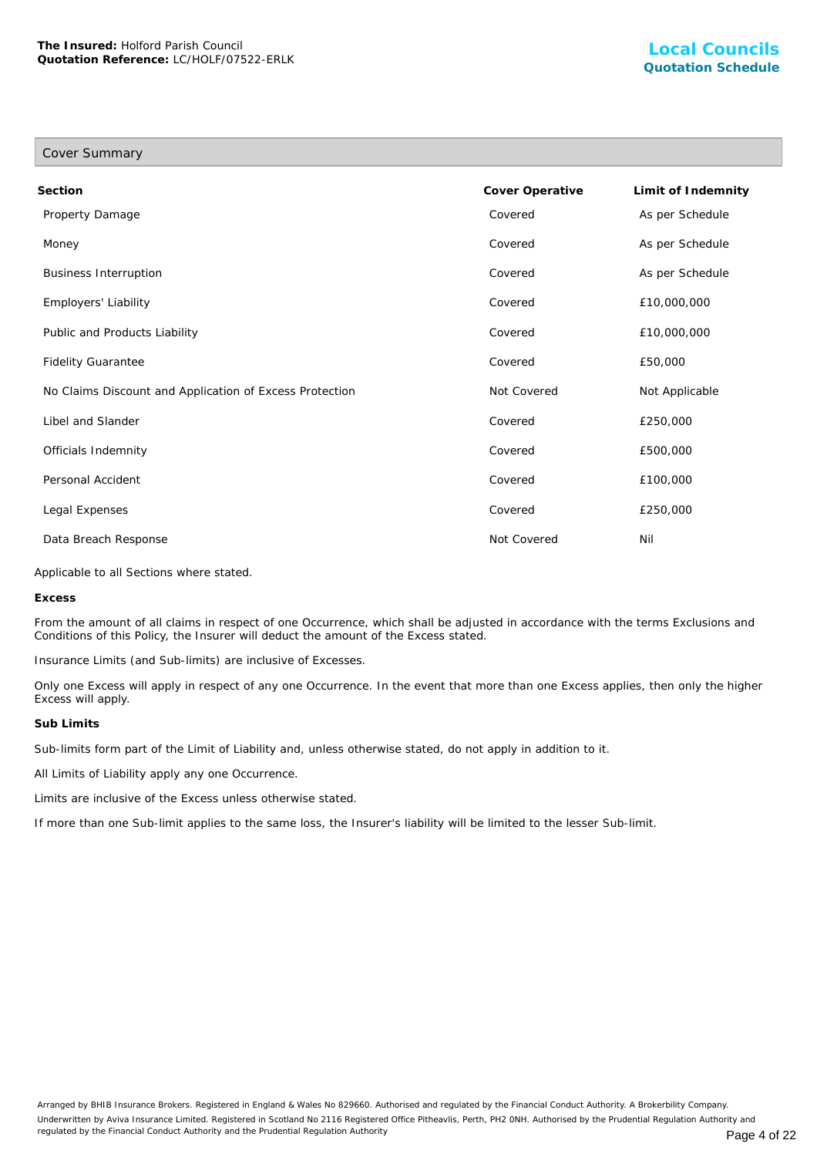| Cover Summary                                           |                 |                    |
|---------------------------------------------------------|-----------------|--------------------|
| Section                                                 | Cover Operative | Limit of Indemnity |
| Property Damage                                         | Covered         | As per Schedule    |
| Money                                                   | Covered         | As per Schedule    |
| <b>Business Interruption</b>                            | Covered         | As per Schedule    |
| Employers' Liability                                    | Covered         | £10,000,000        |
| Public and Products Liability                           | Covered         | £10,000,000        |
| <b>Fidelity Guarantee</b>                               | Covered         | £50,000            |
| No Claims Discount and Application of Excess Protection | Not Covered     | Not Applicable     |
| Libel and Slander                                       | Covered         | £250,000           |
| Officials Indemnity                                     | Covered         | £500,000           |
| Personal Accident                                       | Covered         | £100,000           |
| Legal Expenses                                          | Covered         | £250,000           |
| Data Breach Response                                    | Not Covered     | Nil                |

Applicable to all Sections where stated.

**Excess**

From the amount of all claims in respect of one Occurrence, which shall be adjusted in accordance with the terms Exclusions and Conditions of this Policy, the Insurer will deduct the amount of the Excess stated.

Insurance Limits (and Sub-limits) are inclusive of Excesses.

Only one Excess will apply in respect of any one Occurrence. In the event that more than one Excess applies, then only the higher Excess will apply.

#### **Sub Limits**

Sub-limits form part of the Limit of Liability and, unless otherwise stated, do not apply in addition to it.

All Limits of Liability apply any one Occurrence.

Limits are inclusive of the Excess unless otherwise stated.

If more than one Sub-limit applies to the same loss, the Insurer's liability will be limited to the lesser Sub-limit.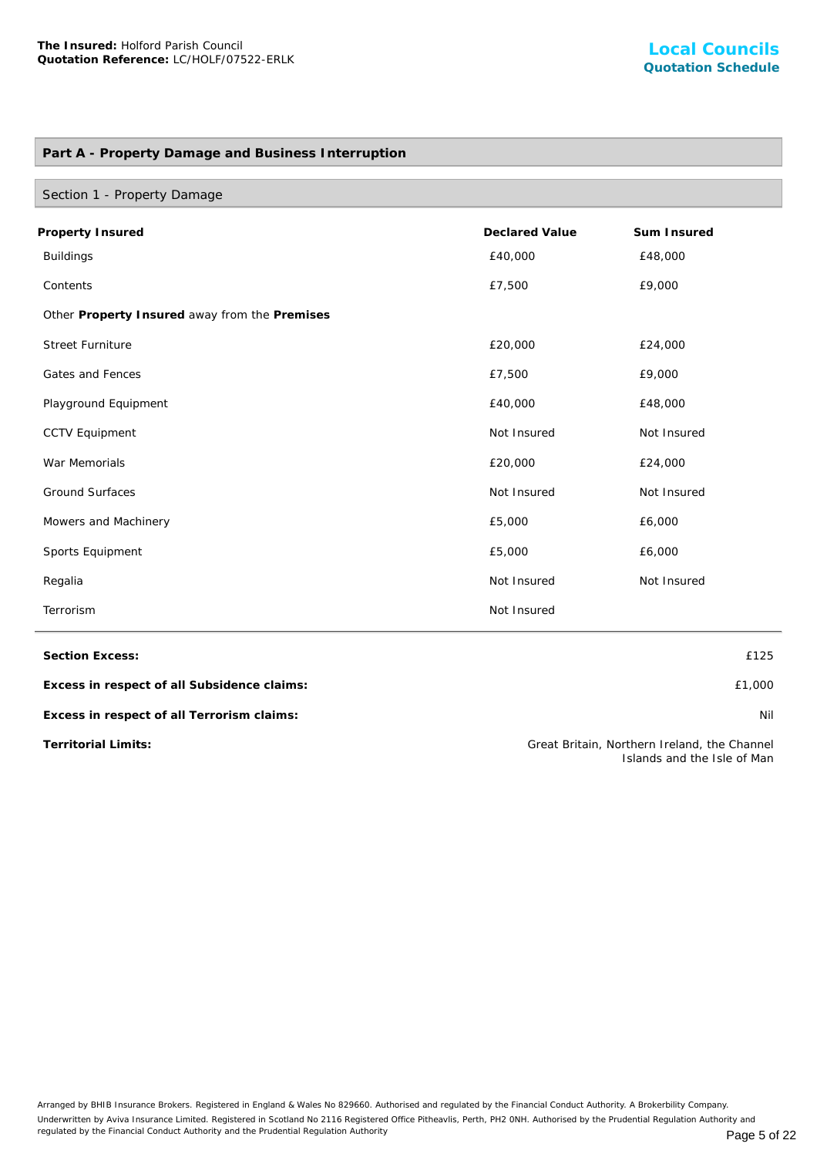## **Part A - Property Damage and Business Interruption**

| Section 1 - Property Damage                   |                       |             |  |
|-----------------------------------------------|-----------------------|-------------|--|
| Property Insured                              | <b>Declared Value</b> | Sum Insured |  |
| <b>Buildings</b>                              | £40,000               | £48,000     |  |
| Contents                                      | £7,500                | £9,000      |  |
| Other Property Insured away from the Premises |                       |             |  |
| <b>Street Furniture</b>                       | £20,000               | £24,000     |  |
| Gates and Fences                              | £7,500                | £9,000      |  |
| Playground Equipment                          | £40,000               | £48,000     |  |
| <b>CCTV Equipment</b>                         | Not Insured           | Not Insured |  |
| War Memorials                                 | £20,000               | £24,000     |  |
| <b>Ground Surfaces</b>                        | Not Insured           | Not Insured |  |
| Mowers and Machinery                          | £5,000                | £6,000      |  |
| Sports Equipment                              | £5,000                | £6,000      |  |
| Regalia                                       | Not Insured           | Not Insured |  |
| Terrorism                                     | Not Insured           |             |  |

**Section Excess:** £125

**Excess in respect of all Subsidence claims:** £1,000

**Excess in respect of all Terrorism claims:** Nil

**Territorial Limits:** Great Britain, Northern Ireland, the Channel Islands and the Isle of Man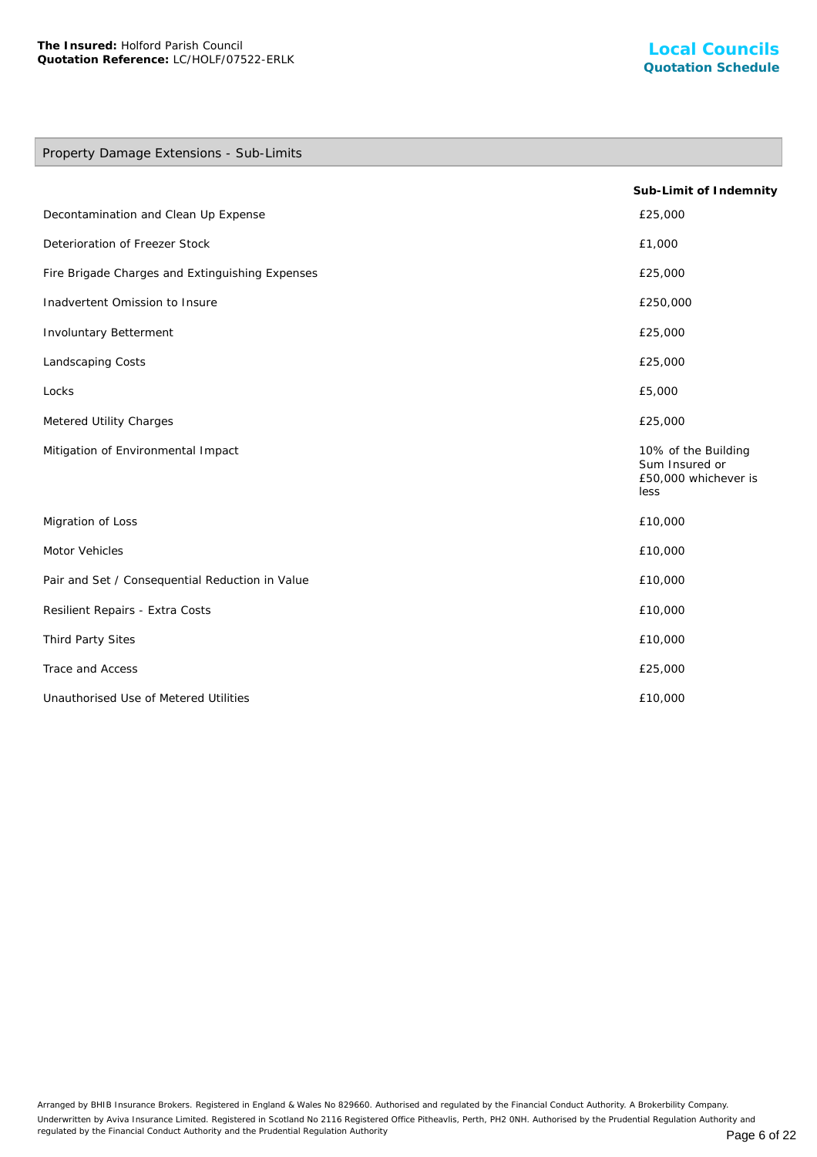## Property Damage Extensions - Sub-Limits

|                                                 | Sub-Limit of Indemnity                                                |
|-------------------------------------------------|-----------------------------------------------------------------------|
| Decontamination and Clean Up Expense            | £25,000                                                               |
| Deterioration of Freezer Stock                  | £1,000                                                                |
| Fire Brigade Charges and Extinguishing Expenses | £25,000                                                               |
| Inadvertent Omission to Insure                  | £250,000                                                              |
| Involuntary Betterment                          | £25,000                                                               |
| Landscaping Costs                               | £25,000                                                               |
| Locks                                           | £5,000                                                                |
| Metered Utility Charges                         | £25,000                                                               |
| Mitigation of Environmental Impact              | 10% of the Building<br>Sum Insured or<br>£50,000 whichever is<br>less |
| Migration of Loss                               | £10,000                                                               |
| Motor Vehicles                                  | £10,000                                                               |
| Pair and Set / Consequential Reduction in Value | £10,000                                                               |
| Resilient Repairs - Extra Costs                 | £10,000                                                               |
| Third Party Sites                               | £10,000                                                               |
| Trace and Access                                | £25,000                                                               |
| Unauthorised Use of Metered Utilities           | £10,000                                                               |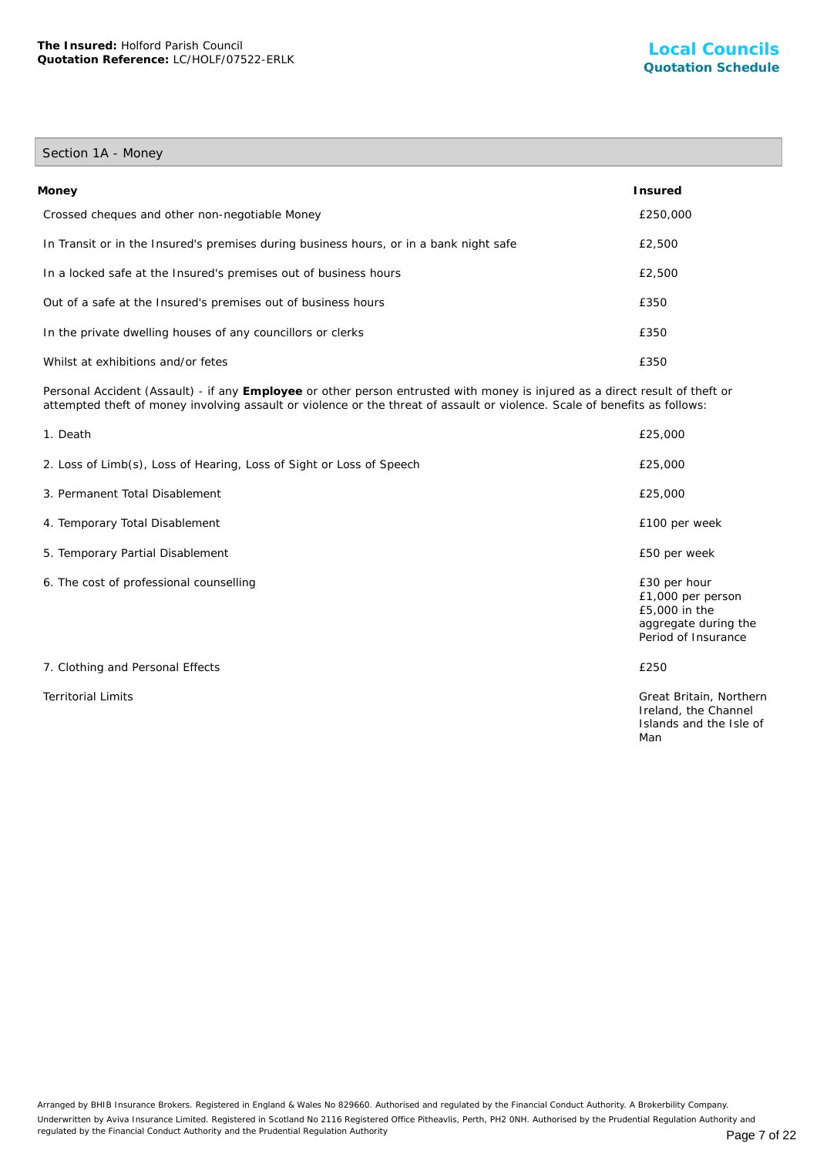## Section 1A - Money

| Money                                                                                  | Insured  |
|----------------------------------------------------------------------------------------|----------|
| Crossed cheques and other non-negotiable Money                                         | £250,000 |
| In Transit or in the Insured's premises during business hours, or in a bank night safe | £2,500   |
| In a locked safe at the Insured's premises out of business hours                       | £2,500   |
| Out of a safe at the Insured's premises out of business hours                          | £350     |
| In the private dwelling houses of any councillors or clerks                            | £350     |
| Whilst at exhibitions and/or fetes                                                     | £350     |

Personal Accident (Assault) - if any **Employee** or other person entrusted with money is injured as a direct result of theft or attempted theft of money involving assault or violence or the threat of assault or violence. Scale of benefits as follows:

| 1. Death                                                             | £25,000                                                                                           |
|----------------------------------------------------------------------|---------------------------------------------------------------------------------------------------|
| 2. Loss of Limb(s), Loss of Hearing, Loss of Sight or Loss of Speech | £25,000                                                                                           |
| 3. Permanent Total Disablement                                       | £25,000                                                                                           |
| 4. Temporary Total Disablement                                       | £100 per week                                                                                     |
| 5. Temporary Partial Disablement                                     | £50 per week                                                                                      |
| 6. The cost of professional counselling                              | £30 per hour<br>£1,000 per person<br>£5,000 in the<br>aggregate during the<br>Period of Insurance |
| 7. Clothing and Personal Effects                                     | £250                                                                                              |
| <b>Territorial Limits</b>                                            | Great Britain, Northern<br>Ireland, the Channel<br>Islands and the Isle of<br>Man                 |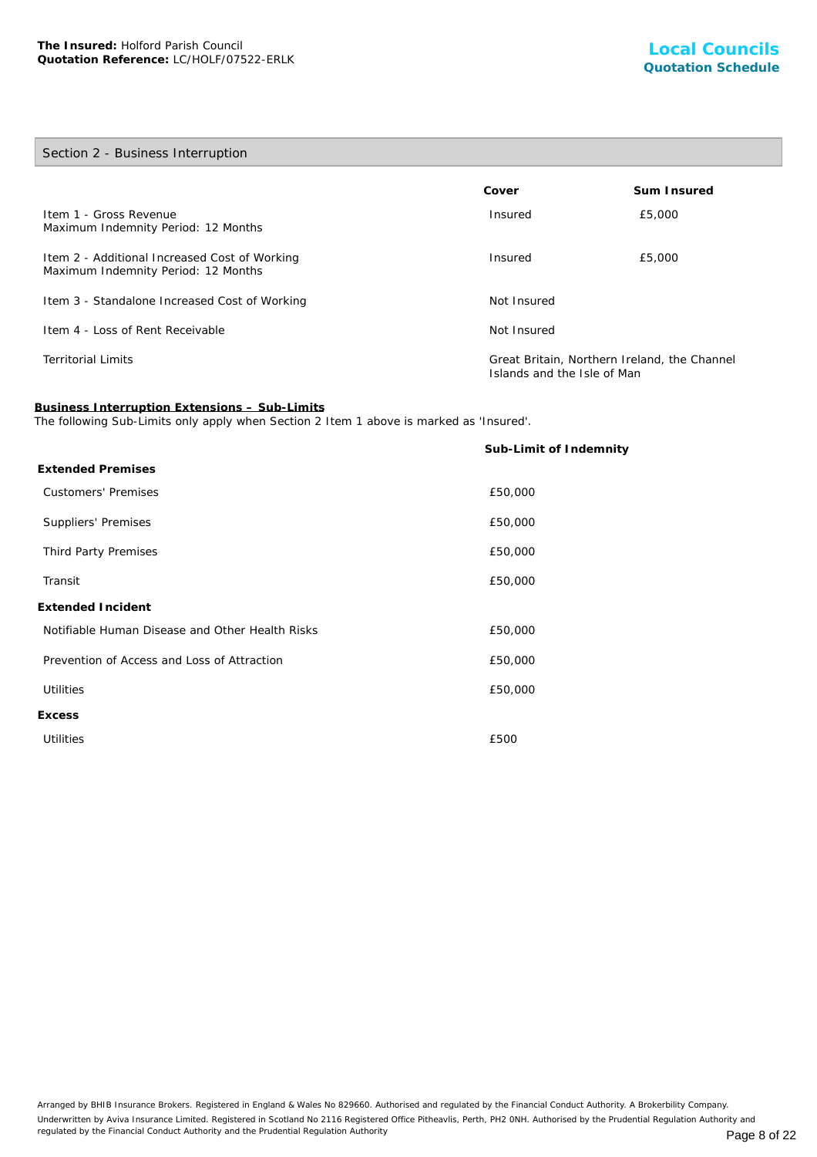## Section 2 - Business Interruption

|                                                                                      | Cover                                                                       | Sum Insured |
|--------------------------------------------------------------------------------------|-----------------------------------------------------------------------------|-------------|
| Item 1 - Gross Revenue<br>Maximum Indemnity Period: 12 Months                        | Insured                                                                     | £5,000      |
| Item 2 - Additional Increased Cost of Working<br>Maximum Indemnity Period: 12 Months | Insured                                                                     | £5,000      |
| Item 3 - Standalone Increased Cost of Working                                        | Not Insured                                                                 |             |
| Item 4 - Loss of Rent Receivable                                                     | Not Insured                                                                 |             |
| <b>Territorial Limits</b>                                                            | Great Britain, Northern Ireland, the Channel<br>Islands and the Isle of Man |             |

**Business Interruption Extensions – Sub-Limits**

The following Sub-Limits only apply when Section 2 Item 1 above is marked as 'Insured'.

|                                                 | Sub-Limit of Indemnity |
|-------------------------------------------------|------------------------|
| <b>Extended Premises</b>                        |                        |
| <b>Customers' Premises</b>                      | £50,000                |
| Suppliers' Premises                             | £50,000                |
| Third Party Premises                            | £50,000                |
| Transit                                         | £50,000                |
| Extended Incident                               |                        |
| Notifiable Human Disease and Other Health Risks | £50,000                |
| Prevention of Access and Loss of Attraction     | £50,000                |
| <b>Utilities</b>                                | £50,000                |
| <b>Excess</b>                                   |                        |
| <b>Utilities</b>                                | £500                   |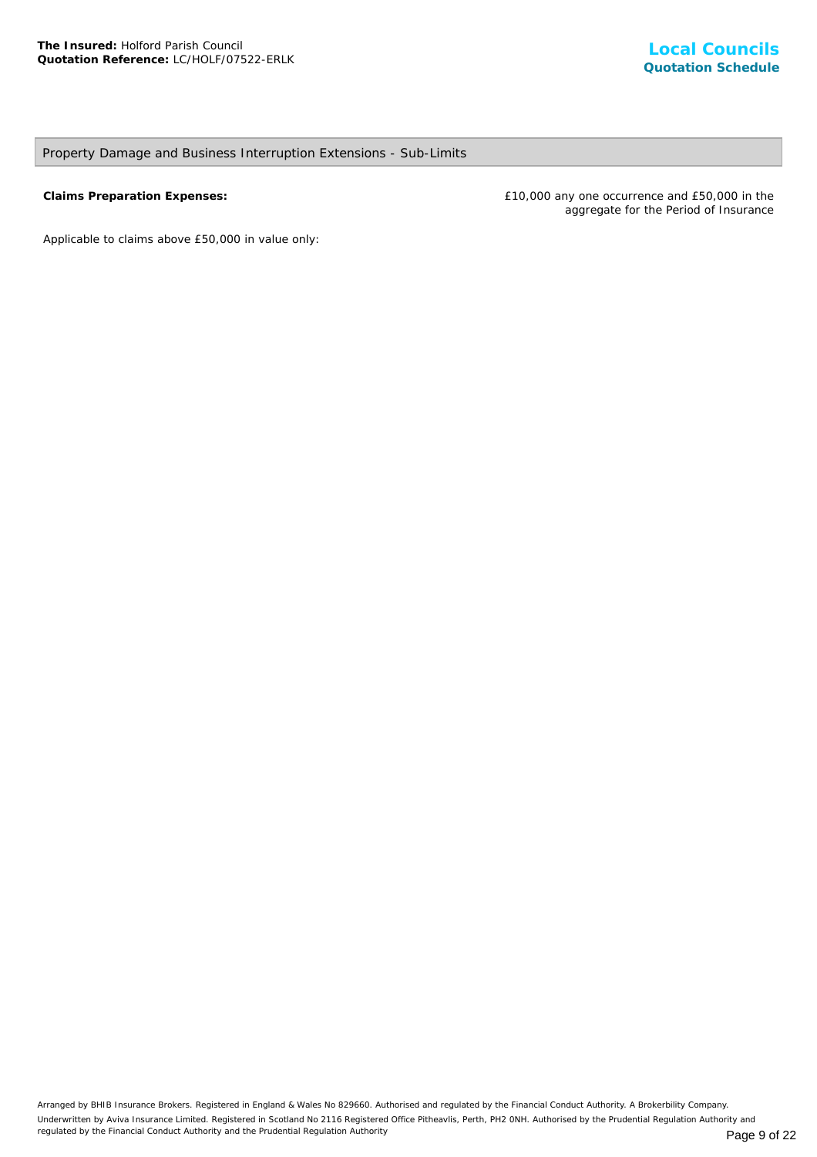## Property Damage and Business Interruption Extensions - Sub-Limits

**Claims Preparation Expenses:** £10,000 any one occurrence and £50,000 in the aggregate for the Period of Insurance

*Applicable to claims above £50,000 in value only*: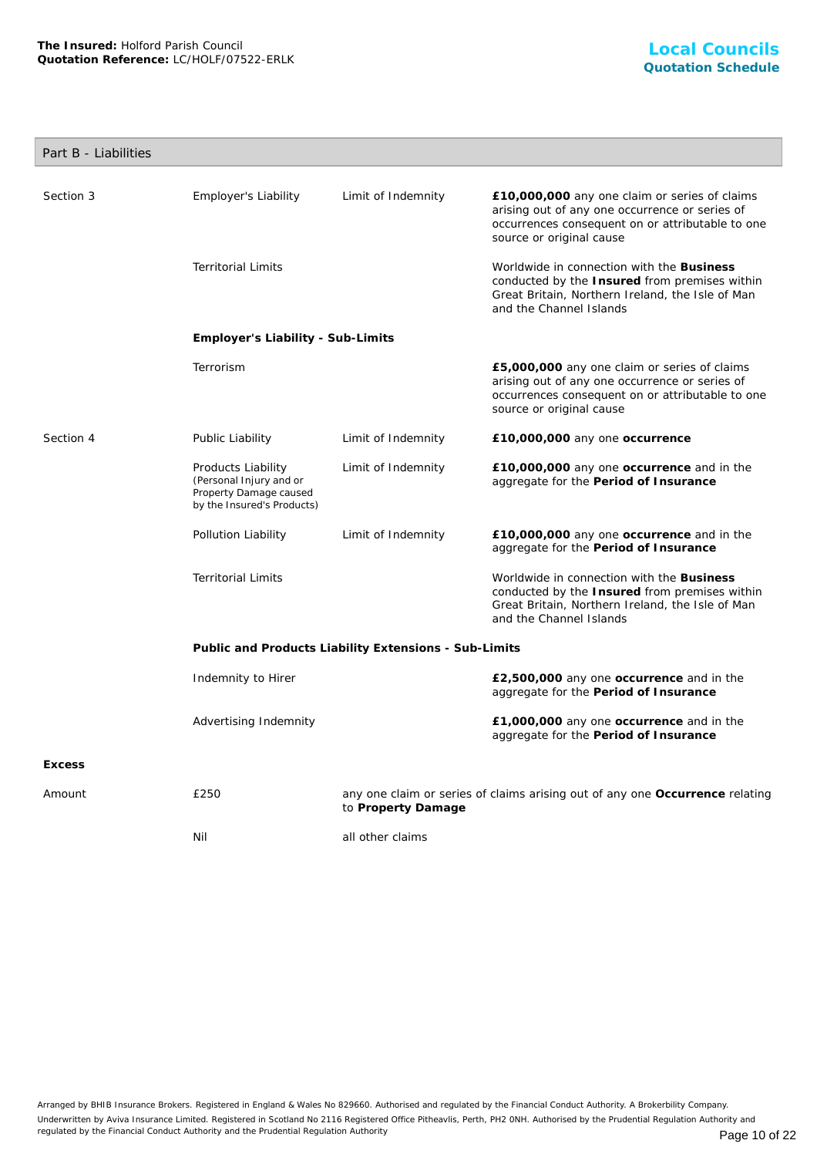## Part B - Liabilities

| Section 3     | Employer's Liability                                                                                  | Limit of Indemnity | £10,000,000 any one claim or series of claims<br>arising out of any one occurrence or series of<br>occurrences consequent on or attributable to one<br>source or original cause |  |
|---------------|-------------------------------------------------------------------------------------------------------|--------------------|---------------------------------------------------------------------------------------------------------------------------------------------------------------------------------|--|
|               | <b>Territorial Limits</b>                                                                             |                    | Worldwide in connection with the Business<br>conducted by the Insured from premises within<br>Great Britain, Northern Ireland, the Isle of Man<br>and the Channel Islands       |  |
|               | Employer's Liability - Sub-Limits                                                                     |                    |                                                                                                                                                                                 |  |
|               | Terrorism                                                                                             |                    | £5,000,000 any one claim or series of claims<br>arising out of any one occurrence or series of<br>occurrences consequent on or attributable to one<br>source or original cause  |  |
| Section 4     | Public Liability                                                                                      | Limit of Indemnity | £10,000,000 any one occurrence                                                                                                                                                  |  |
|               | Products Liability<br>(Personal Injury and or<br>Property Damage caused<br>by the Insured's Products) | Limit of Indemnity | £10,000,000 any one occurrence and in the<br>aggregate for the Period of Insurance                                                                                              |  |
|               | Pollution Liability                                                                                   | Limit of Indemnity | £10,000,000 any one occurrence and in the<br>aggregate for the Period of Insurance                                                                                              |  |
|               | <b>Territorial Limits</b>                                                                             |                    | Worldwide in connection with the Business<br>conducted by the Insured from premises within<br>Great Britain, Northern Ireland, the Isle of Man<br>and the Channel Islands       |  |
|               | Public and Products Liability Extensions - Sub-Limits                                                 |                    |                                                                                                                                                                                 |  |
|               | Indemnity to Hirer                                                                                    |                    | £2,500,000 any one occurrence and in the<br>aggregate for the Period of Insurance                                                                                               |  |
|               | Advertising Indemnity                                                                                 |                    | £1,000,000 any one occurrence and in the<br>aggregate for the Period of Insurance                                                                                               |  |
| <b>Excess</b> |                                                                                                       |                    |                                                                                                                                                                                 |  |
| Amount        | £250                                                                                                  | to Property Damage | any one claim or series of claims arising out of any one Occurrence relating                                                                                                    |  |
|               | Nil                                                                                                   | all other claims   |                                                                                                                                                                                 |  |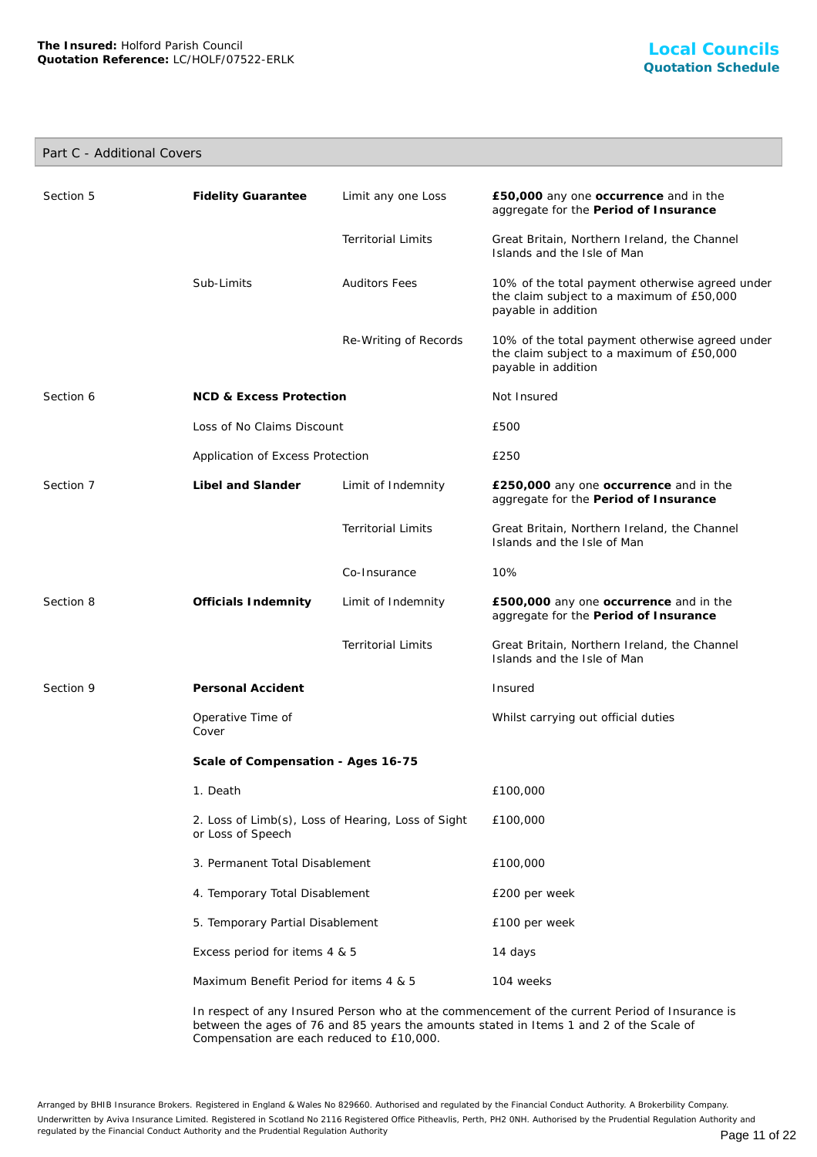## Part C - Additional Covers

| Section 5 | <b>Fidelity Guarantee</b>                                               | Limit any one Loss        | £50,000 any one occurrence and in the<br>aggregate for the Period of Insurance                                      |
|-----------|-------------------------------------------------------------------------|---------------------------|---------------------------------------------------------------------------------------------------------------------|
|           |                                                                         | <b>Territorial Limits</b> | Great Britain, Northern Ireland, the Channel<br>Islands and the Isle of Man                                         |
|           | Sub-Limits                                                              | <b>Auditors Fees</b>      | 10% of the total payment otherwise agreed under<br>the claim subject to a maximum of £50,000<br>payable in addition |
|           |                                                                         | Re-Writing of Records     | 10% of the total payment otherwise agreed under<br>the claim subject to a maximum of £50,000<br>payable in addition |
| Section 6 | <b>NCD &amp; Excess Protection</b>                                      |                           | Not Insured                                                                                                         |
|           | Loss of No Claims Discount                                              |                           | £500                                                                                                                |
|           | Application of Excess Protection                                        |                           | £250                                                                                                                |
| Section 7 | Libel and Slander                                                       | Limit of Indemnity        | £250,000 any one occurrence and in the<br>aggregate for the Period of Insurance                                     |
|           |                                                                         | <b>Territorial Limits</b> | Great Britain, Northern Ireland, the Channel<br>Islands and the Isle of Man                                         |
|           |                                                                         | Co-Insurance              | 10%                                                                                                                 |
| Section 8 | Officials Indemnity                                                     | Limit of Indemnity        | £500,000 any one occurrence and in the<br>aggregate for the Period of Insurance                                     |
|           |                                                                         | <b>Territorial Limits</b> | Great Britain, Northern Ireland, the Channel<br>Islands and the Isle of Man                                         |
| Section 9 | Personal Accident                                                       |                           | Insured                                                                                                             |
|           | Operative Time of<br>Cover                                              |                           | Whilst carrying out official duties                                                                                 |
|           | Scale of Compensation - Ages 16-75                                      |                           |                                                                                                                     |
|           | 1. Death                                                                |                           | £100,000                                                                                                            |
|           | 2. Loss of Limb(s), Loss of Hearing, Loss of Sight<br>or Loss of Speech |                           | £100,000                                                                                                            |
|           | 3. Permanent Total Disablement                                          |                           | £100,000                                                                                                            |
|           | 4. Temporary Total Disablement                                          |                           | £200 per week                                                                                                       |
|           | 5. Temporary Partial Disablement                                        |                           | £100 per week                                                                                                       |
|           | Excess period for items 4 & 5                                           |                           | 14 days                                                                                                             |
|           | Maximum Benefit Period for items 4 & 5                                  |                           | 104 weeks                                                                                                           |
|           |                                                                         |                           |                                                                                                                     |

In respect of any Insured Person who at the commencement of the current Period of Insurance is between the ages of 76 and 85 years the amounts stated in Items 1 and 2 of the Scale of Compensation are each reduced to £10,000.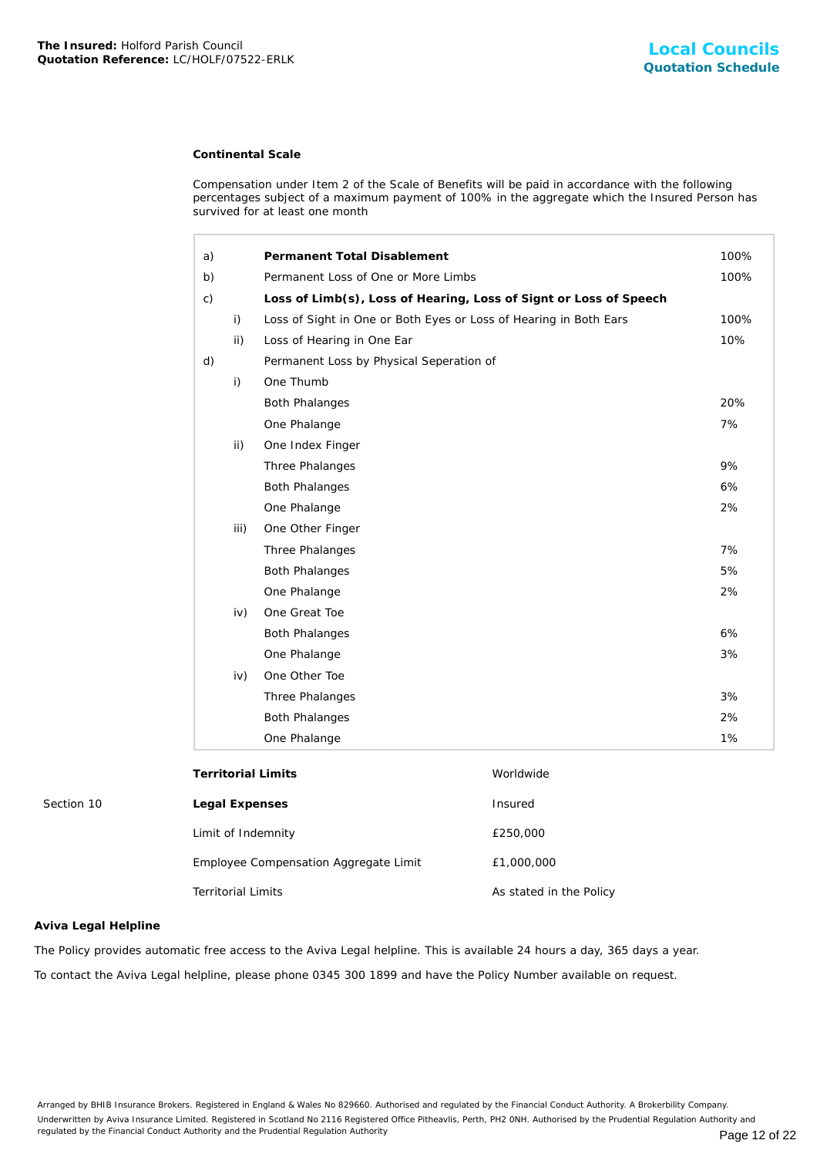## **Continental Scale**

| The Insured: Holford Parish Council<br>Quotation Reference: LC/HOLF/07522-ERLK |                           |                    |                                                                                                                                                                                                                                       |                         | Local Council<br><b>Quotation Schedu</b> |
|--------------------------------------------------------------------------------|---------------------------|--------------------|---------------------------------------------------------------------------------------------------------------------------------------------------------------------------------------------------------------------------------------|-------------------------|------------------------------------------|
|                                                                                |                           |                    | <b>Continental Scale</b>                                                                                                                                                                                                              |                         |                                          |
|                                                                                |                           |                    | Compensation under Item 2 of the Scale of Benefits will be paid in accordance with the following<br>percentages subject of a maximum payment of 100% in the aggregate which the Insured Person has<br>survived for at least one month |                         |                                          |
|                                                                                | a)                        |                    | Permanent Total Disablement                                                                                                                                                                                                           |                         | 100%                                     |
|                                                                                | b)                        |                    | Permanent Loss of One or More Limbs                                                                                                                                                                                                   |                         | 100%                                     |
|                                                                                | c)                        |                    | Loss of Limb(s), Loss of Hearing, Loss of Signt or Loss of Speech                                                                                                                                                                     |                         |                                          |
|                                                                                |                           | i)                 | Loss of Sight in One or Both Eyes or Loss of Hearing in Both Ears                                                                                                                                                                     |                         | 100%                                     |
|                                                                                |                           | ii)                | Loss of Hearing in One Ear                                                                                                                                                                                                            |                         | 10%                                      |
|                                                                                | d)                        |                    | Permanent Loss by Physical Seperation of                                                                                                                                                                                              |                         |                                          |
|                                                                                |                           | i)                 | One Thumb                                                                                                                                                                                                                             |                         |                                          |
|                                                                                |                           |                    | <b>Both Phalanges</b>                                                                                                                                                                                                                 |                         | 20%                                      |
|                                                                                |                           |                    | One Phalange                                                                                                                                                                                                                          |                         | 7%                                       |
|                                                                                |                           | ii)                | One Index Finger                                                                                                                                                                                                                      |                         |                                          |
|                                                                                |                           |                    | Three Phalanges                                                                                                                                                                                                                       |                         | 9%                                       |
|                                                                                |                           |                    | <b>Both Phalanges</b>                                                                                                                                                                                                                 |                         | 6%                                       |
|                                                                                |                           |                    | One Phalange                                                                                                                                                                                                                          |                         | 2%                                       |
|                                                                                |                           | iii)               | One Other Finger                                                                                                                                                                                                                      |                         |                                          |
|                                                                                |                           |                    | Three Phalanges                                                                                                                                                                                                                       |                         | 7%                                       |
|                                                                                |                           |                    | <b>Both Phalanges</b>                                                                                                                                                                                                                 |                         | 5%                                       |
|                                                                                |                           |                    | One Phalange                                                                                                                                                                                                                          |                         | 2%                                       |
|                                                                                |                           | iv)                | One Great Toe                                                                                                                                                                                                                         |                         |                                          |
|                                                                                |                           |                    | <b>Both Phalanges</b>                                                                                                                                                                                                                 |                         | 6%                                       |
|                                                                                |                           |                    | One Phalange                                                                                                                                                                                                                          |                         | 3%                                       |
|                                                                                |                           | iv)                | One Other Toe                                                                                                                                                                                                                         |                         |                                          |
|                                                                                |                           |                    | Three Phalanges                                                                                                                                                                                                                       |                         | 3%                                       |
|                                                                                |                           |                    | <b>Both Phalanges</b>                                                                                                                                                                                                                 |                         | 2%                                       |
|                                                                                |                           |                    | One Phalange                                                                                                                                                                                                                          |                         | 1%                                       |
|                                                                                |                           |                    | <b>Territorial Limits</b>                                                                                                                                                                                                             | Worldwide               |                                          |
| Section 10                                                                     | Legal Expenses            |                    |                                                                                                                                                                                                                                       | Insured                 |                                          |
|                                                                                |                           | Limit of Indemnity |                                                                                                                                                                                                                                       | £250,000                |                                          |
|                                                                                |                           |                    | Employee Compensation Aggregate Limit                                                                                                                                                                                                 | £1,000,000              |                                          |
|                                                                                | <b>Territorial Limits</b> |                    |                                                                                                                                                                                                                                       | As stated in the Policy |                                          |
| Aviva Legal Helpline                                                           |                           |                    |                                                                                                                                                                                                                                       |                         |                                          |
|                                                                                |                           |                    | The Policy provides automatic free access to the Aviva Legal helpline. This is available 24 hours a day, 365 days a year.                                                                                                             |                         |                                          |
|                                                                                |                           |                    | To contact the Aviva Legal helpline, please phone 0345 300 1899 and have the Policy Number available on request.                                                                                                                      |                         |                                          |

## **Aviva Legal Helpline**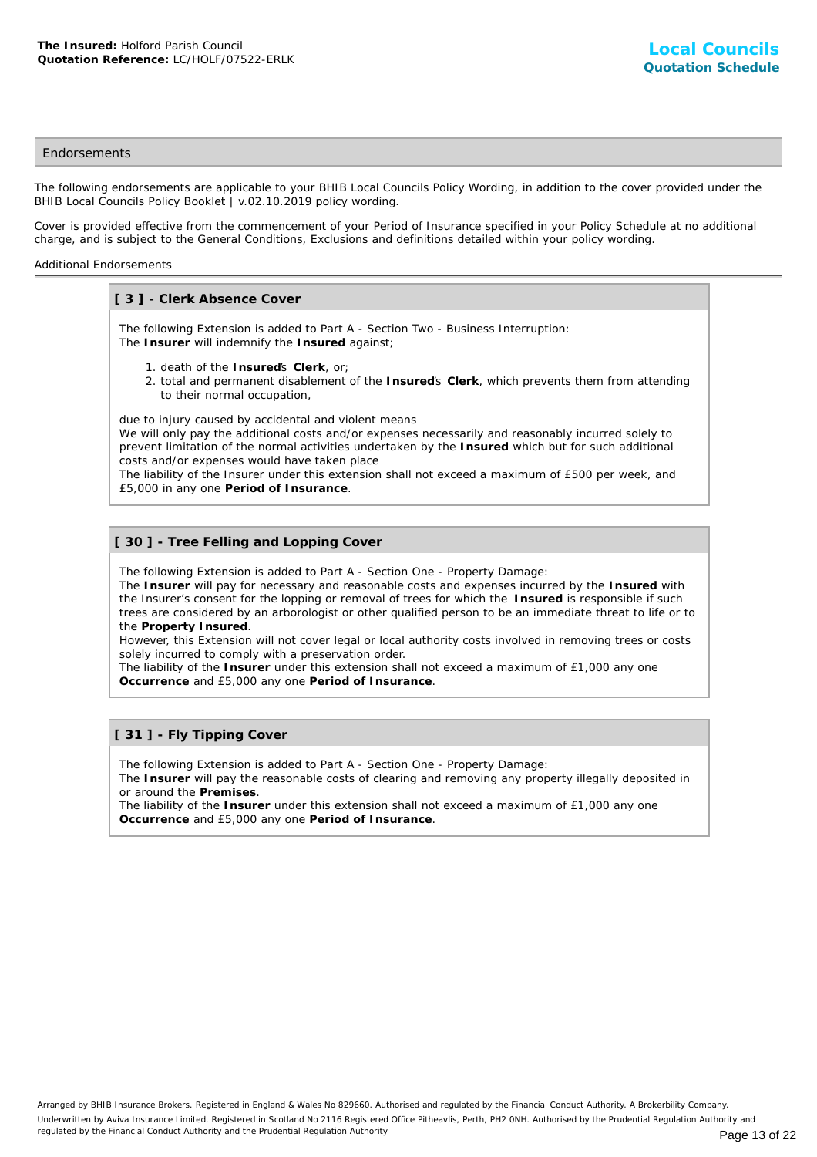## **Endorsements**

The following endorsements are applicable to your BHIB Local Councils Policy Wording, in addition to the cover provided under the BHIB Local Councils Policy Booklet | v.02.10.2019 policy wording.

Cover is provided effective from the commencement of your Period of Insurance specified in your Policy Schedule at no additional charge, and is subject to the General Conditions, Exclusions and definitions detailed within your policy wording.

#### Additional Endorsements

## **[ 3 ] - Clerk Absence Cover**

The following Extension is added to Part A - Section Two - Business Interruption: The **Insurer** will indemnify the **Insured** against;

- 1. death of the **Insured**'s **Clerk**, or;
- 2. total and permanent disablement of the Insured's Clerk, which prevents them from attending to their normal occupation,

due to injury caused by accidental and violent means

We will only pay the additional costs and/or expenses necessarily and reasonably incurred solely to prevent limitation of the normal activities undertaken by the **Insured** which but for such additional costs and/or expenses would have taken place

The liability of the Insurer under this extension shall not exceed a maximum of £500 per week, and £5,000 in any one **Period of Insurance**.

## **[ 30 ] - Tree Felling and Lopping Cover**

The following Extension is added to Part A - Section One - Property Damage:

The **Insurer** will pay for necessary and reasonable costs and expenses incurred by the **Insured** with the Insurer's consent for the lopping or removal of trees for which the **Insured** is responsible if such trees are considered by an arborologist or other qualified person to be an immediate threat to life or to the **Property Insured**.

However, this Extension will not cover legal or local authority costs involved in removing trees or costs solely incurred to comply with a preservation order.

The liability of the **Insurer** under this extension shall not exceed a maximum of £1,000 any one **Occurrence** and £5,000 any one **Period of Insurance**.

## **[ 31 ] - Fly Tipping Cover**

The following Extension is added to Part A - Section One - Property Damage:

The **Insurer** will pay the reasonable costs of clearing and removing any property illegally deposited in or around the **Premises**.

The liability of the **Insurer** under this extension shall not exceed a maximum of £1,000 any one **Occurrence** and £5,000 any one **Period of Insurance**.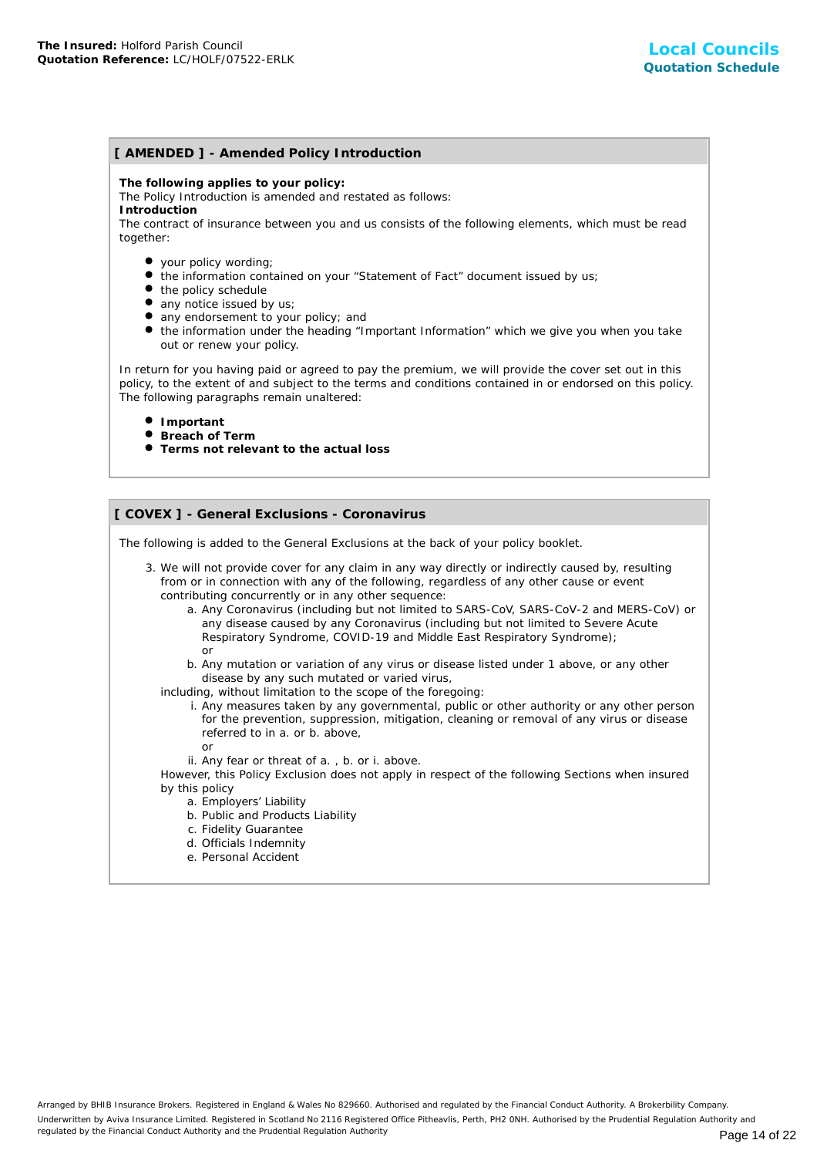## **[ AMENDED ] - Amended Policy Introduction**

**The following applies to your policy:**

The Policy Introduction is amended and restated as follows:

**Introduction**

The contract of insurance between you and us consists of the following elements, which must be read together:

- your policy wording;
- the information contained on your "Statement of Fact" document issued by us;
- the policy schedule
- any notice issued by us;
- any endorsement to your policy; and
- the information under the heading "Important Information" which we give you when you take out or renew your policy.

In return for you having paid or agreed to pay the premium, we will provide the cover set out in this policy, to the extent of and subject to the terms and conditions contained in or endorsed on this policy. The following paragraphs remain unaltered:

- **Important**
- **Breach of Term**
- **Terms not relevant to the actual loss**

## **[ COVEX ] - General Exclusions - Coronavirus**

The following is added to the General Exclusions at the back of your policy booklet.

- 3. We will not provide cover for any claim in any way directly or indirectly caused by, resulting from or in connection with any of the following, regardless of any other cause or event contributing concurrently or in any other sequence:
	- a. Any Coronavirus (including but not limited to SARS-CoV, SARS-CoV-2 and MERS-CoV) or any disease caused by any Coronavirus (including but not limited to Severe Acute Respiratory Syndrome, COVID-19 and Middle East Respiratory Syndrome); or
	- b. Any mutation or variation of any virus or disease listed under 1 above, or any other disease by any such mutated or varied virus,
	- including, without limitation to the scope of the foregoing:
		- i. Any measures taken by any governmental, public or other authority or any other person for the prevention, suppression, mitigation, cleaning or removal of any virus or disease referred to in a. or b. above,
			- or
		- ii. Any fear or threat of a. , b. or i. above.

However, this Policy Exclusion does not apply in respect of the following Sections when insured by this policy

- a. Employers' Liability
- b. Public and Products Liability
- c. Fidelity Guarantee
- d. Officials Indemnity
- e. Personal Accident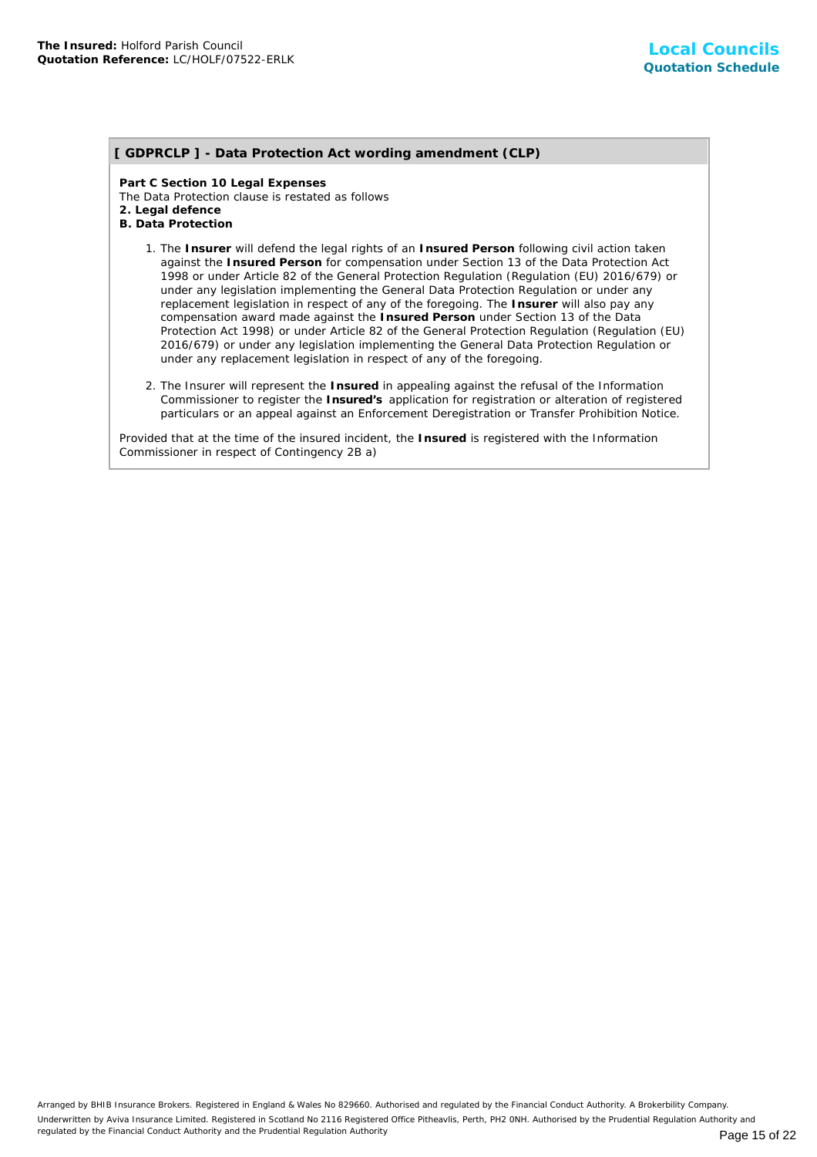## **[ GDPRCLP ] - Data Protection Act wording amendment (CLP)**

**Part C Section 10 Legal Expenses** The Data Protection clause is restated as follows **2. Legal defence B. Data Protection**

- 1. The Insurer will defend the legal rights of an Insured Person following civil action taken against the **Insured Person** for compensation under Section 13 of the Data Protection Act 1998 or under Article 82 of the General Protection Regulation (Regulation (EU) 2016/679) or under any legislation implementing the General Data Protection Regulation or under any replacement legislation in respect of any of the foregoing. The **Insurer** will also pay any compensation award made against the **Insured Person** under Section 13 of the Data Protection Act 1998) or under Article 82 of the General Protection Regulation (Regulation (EU) 2016/679) or under any legislation implementing the General Data Protection Regulation or under any replacement legislation in respect of any of the foregoing.
- 2. The Insurer will represent the Insured in appealing against the refusal of the Information Commissioner to register the **Insured's** application for registration or alteration of registered particulars or an appeal against an Enforcement Deregistration or Transfer Prohibition Notice.

Provided that at the time of the insured incident, the **Insured** is registered with the Information Commissioner in respect of Contingency 2B a)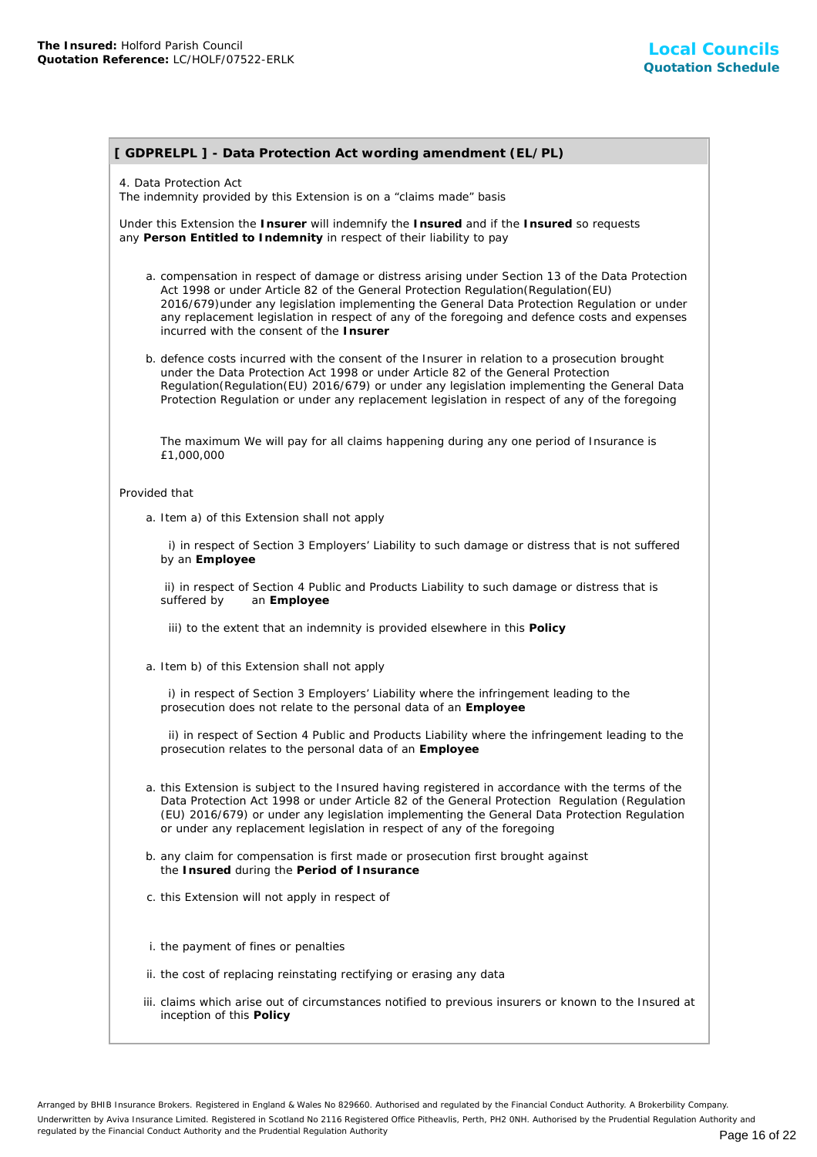## **[ GDPRELPL ] - Data Protection Act wording amendment (EL/PL)**

## 4. Data Protection Act

The indemnity provided by this Extension is on a "claims made" basis

Under this Extension the **Insurer** will indemnify the **Insured** and if the **Insured** so requests any **Person Entitled to Indemnity** in respect of their liability to pay

- a. compensation in respect of damage or distress arising under Section 13 of the Data Protection Act 1998 or under Article 82 of the General Protection Regulation(Regulation(EU) 2016/679)under any legislation implementing the General Data Protection Regulation or under any replacement legislation in respect of any of the foregoing and defence costs and expenses incurred with the consent of the **Insurer**
- b. defence costs incurred with the consent of the Insurer in relation to a prosecution brought under the Data Protection Act 1998 or under Article 82 of the General Protection Regulation(Regulation(EU) 2016/679) or under any legislation implementing the General Data Protection Regulation or under any replacement legislation in respect of any of the foregoing

The maximum We will pay for all claims happening during any one period of Insurance is £1,000,000

#### Provided that

a. Item a) of this Extension shall not apply

 i) in respect of Section 3 Employers' Liability to such damage or distress that is not suffered by an **Employee**

 ii) in respect of Section 4 Public and Products Liability to such damage or distress that is suffered by an **Employee**

iii) to the extent that an indemnity is provided elsewhere in this **Policy**

a. Item b) of this Extension shall not apply

 i) in respect of Section 3 Employers' Liability where the infringement leading to the prosecution does not relate to the personal data of an **Employee**

 ii) in respect of Section 4 Public and Products Liability where the infringement leading to the prosecution relates to the personal data of an **Employee**

- a. this Extension is subject to the Insured having registered in accordance with the terms of the Data Protection Act 1998 or under Article 82 of the General Protection Regulation (Regulation (EU) 2016/679) or under any legislation implementing the General Data Protection Regulation or under any replacement legislation in respect of any of the foregoing
- b. any claim for compensation is first made or prosecution first brought against the **Insured** during the **Period of Insurance**
- c. this Extension will not apply in respect of
- i. the payment of fines or penalties
- ii. the cost of replacing reinstating rectifying or erasing any data
- iii. claims which arise out of circumstances notified to previous insurers or known to the Insured at inception of this **Policy**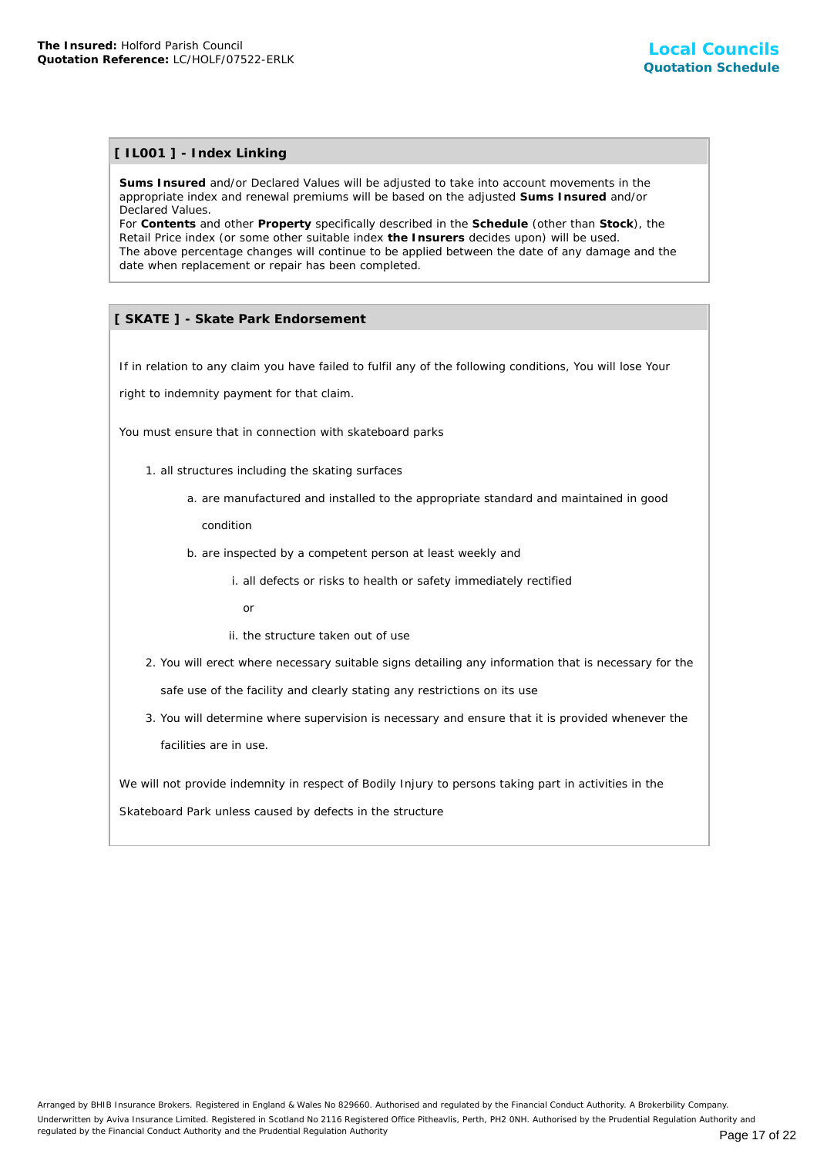## **[ IL001 ] - Index Linking**

**Sums Insured** and/or Declared Values will be adjusted to take into account movements in the appropriate index and renewal premiums will be based on the adjusted **Sums Insured** and/or Declared Values.

For **Contents** and other **Property** specifically described in the **Schedule** (other than **Stock**), the Retail Price index (or some other suitable index **the Insurers** decides upon) will be used. The above percentage changes will continue to be applied between the date of any damage and the date when replacement or repair has been completed.

## **[ SKATE ] - Skate Park Endorsement**

If in relation to any claim you have failed to fulfil any of the following conditions, You will lose Your

right to indemnity payment for that claim.

You must ensure that in connection with skateboard parks

- 1. all structures including the skating surfaces
	- a. are manufactured and installed to the appropriate standard and maintained in good

condition

- b. are inspected by a competent person at least weekly and
	- i. all defects or risks to health or safety immediately rectified
		- or
	- ii. the structure taken out of use
- 2. You will erect where necessary suitable signs detailing any information that is necessary for the safe use of the facility and clearly stating any restrictions on its use
- 3. You will determine where supervision is necessary and ensure that it is provided whenever the facilities are in use.

We will not provide indemnity in respect of Bodily Injury to persons taking part in activities in the

Skateboard Park unless caused by defects in the structure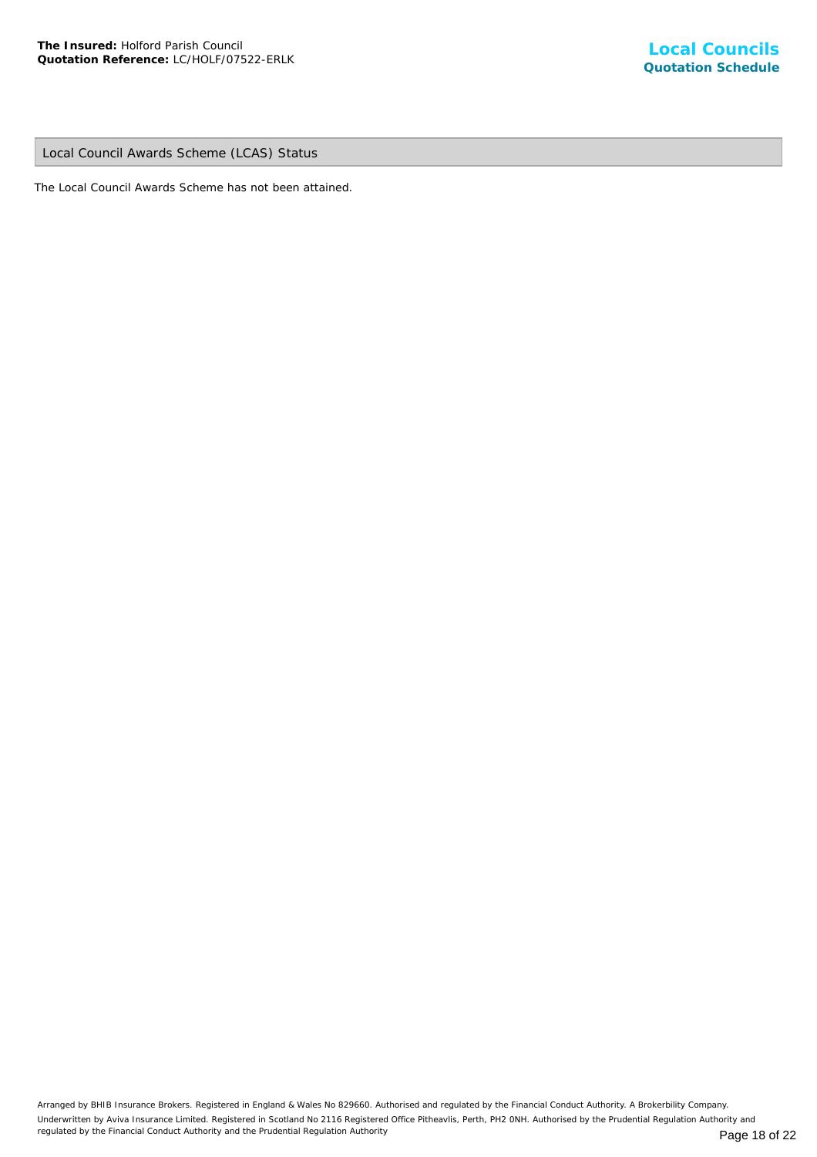Local Council Awards Scheme (LCAS) Status

The Local Council Awards Scheme has not been attained.

Arranged by BHIB Insurance Brokers. Registered in England & Wales No 829660. Authorised and regulated by the Financial Conduct Authority. A Brokerbility Company. Underwritten by Aviva Insurance Limited. Registered in Scotland No 2116 Registered Office Pitheavlis, Perth, PH2 0NH. Authorised by the Prudential Regulation Authority and regulated by the Financial Conduct Authority and the Prudential Regulation Authority **Page 18 of 22** Page 18 of 22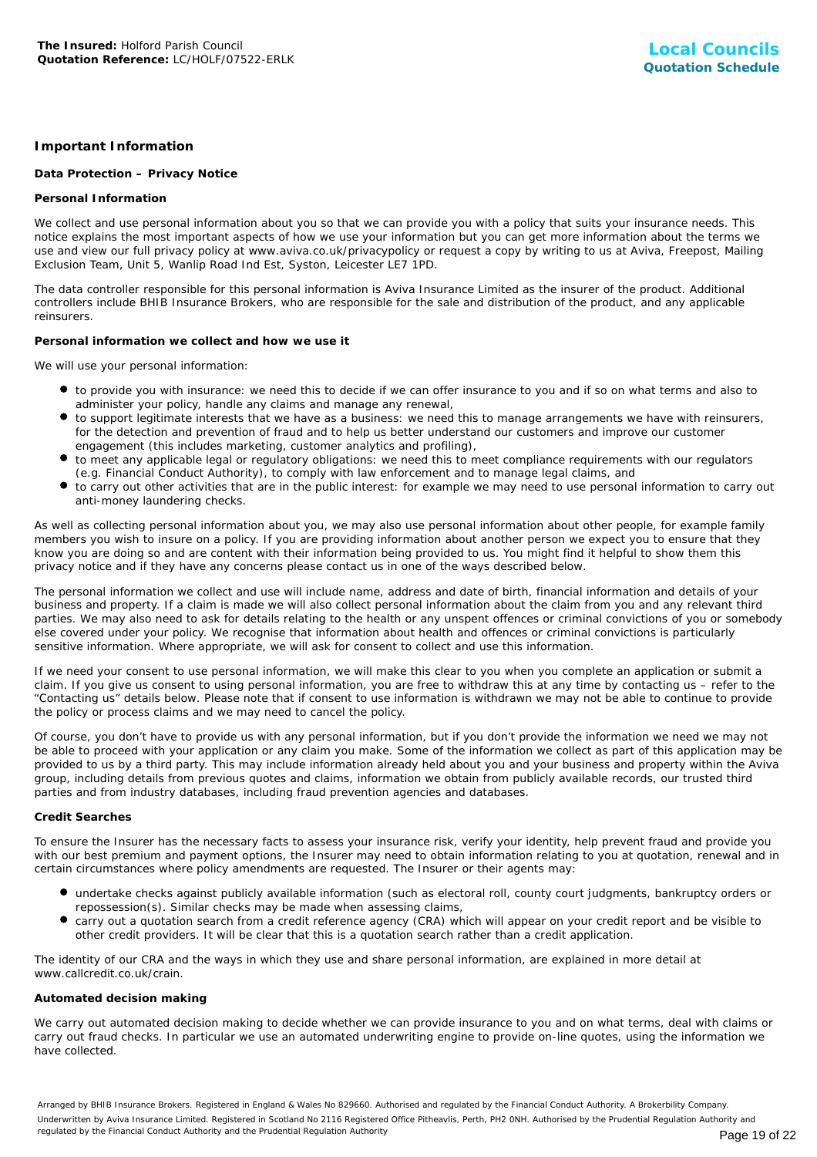## **Important Information**

## **Data Protection – Privacy Notice**

## **Personal Information**

We collect and use personal information about you so that we can provide you with a policy that suits your insurance needs. This notice explains the most important aspects of how we use your information but you can get more information about the terms we use and view our full privacy policy at www.aviva.co.uk/privacypolicy or request a copy by writing to us at Aviva, Freepost, Mailing Exclusion Team, Unit 5, Wanlip Road Ind Est, Syston, Leicester LE7 1PD.

The data controller responsible for this personal information is Aviva Insurance Limited as the insurer of the product. Additional controllers include BHIB Insurance Brokers, who are responsible for the sale and distribution of the product, and any applicable reinsurers.

## **Personal information we collect and how we use it**

We will use your personal information:

- to provide you with insurance: we need this to decide if we can offer insurance to you and if so on what terms and also to administer your policy, handle any claims and manage any renewal,
- to support legitimate interests that we have as a business: we need this to manage arrangements we have with reinsurers, for the detection and prevention of fraud and to help us better understand our customers and improve our customer engagement (this includes marketing, customer analytics and profiling),
- to meet any applicable legal or regulatory obligations: we need this to meet compliance requirements with our regulators (e.g. Financial Conduct Authority), to comply with law enforcement and to manage legal claims, and
- to carry out other activities that are in the public interest: for example we may need to use personal information to carry out anti-money laundering checks.

As well as collecting personal information about you, we may also use personal information about other people, for example family members you wish to insure on a policy. If you are providing information about another person we expect you to ensure that they know you are doing so and are content with their information being provided to us. You might find it helpful to show them this privacy notice and if they have any concerns please contact us in one of the ways described below.

The personal information we collect and use will include name, address and date of birth, financial information and details of your business and property. If a claim is made we will also collect personal information about the claim from you and any relevant third parties. We may also need to ask for details relating to the health or any unspent offences or criminal convictions of you or somebody else covered under your policy. We recognise that information about health and offences or criminal convictions is particularly sensitive information. Where appropriate, we will ask for consent to collect and use this information.

If we need your consent to use personal information, we will make this clear to you when you complete an application or submit a claim. If you give us consent to using personal information, you are free to withdraw this at any time by contacting us – refer to the "Contacting us" details below. Please note that if consent to use information is withdrawn we may not be able to continue to provide the policy or process claims and we may need to cancel the policy.

Of course, you don't have to provide us with any personal information, but if you don't provide the information we need we may not be able to proceed with your application or any claim you make. Some of the information we collect as part of this application may be provided to us by a third party. This may include information already held about you and your business and property within the Aviva group, including details from previous quotes and claims, information we obtain from publicly available records, our trusted third parties and from industry databases, including fraud prevention agencies and databases.

#### **Credit Searches**

To ensure the Insurer has the necessary facts to assess your insurance risk, verify your identity, help prevent fraud and provide you with our best premium and payment options, the Insurer may need to obtain information relating to you at quotation, renewal and in certain circumstances where policy amendments are requested. The Insurer or their agents may:

- undertake checks against publicly available information (such as electoral roll, county court judgments, bankruptcy orders or repossession(s). Similar checks may be made when assessing claims,
- carry out a quotation search from a credit reference agency (CRA) which will appear on your credit report and be visible to other credit providers. It will be clear that this is a quotation search rather than a credit application.

The identity of our CRA and the ways in which they use and share personal information, are explained in more detail at www.callcredit.co.uk/crain.

#### **Automated decision making**

We carry out automated decision making to decide whether we can provide insurance to you and on what terms, deal with claims or carry out fraud checks. In particular we use an automated underwriting engine to provide on-line quotes, using the information we have collected.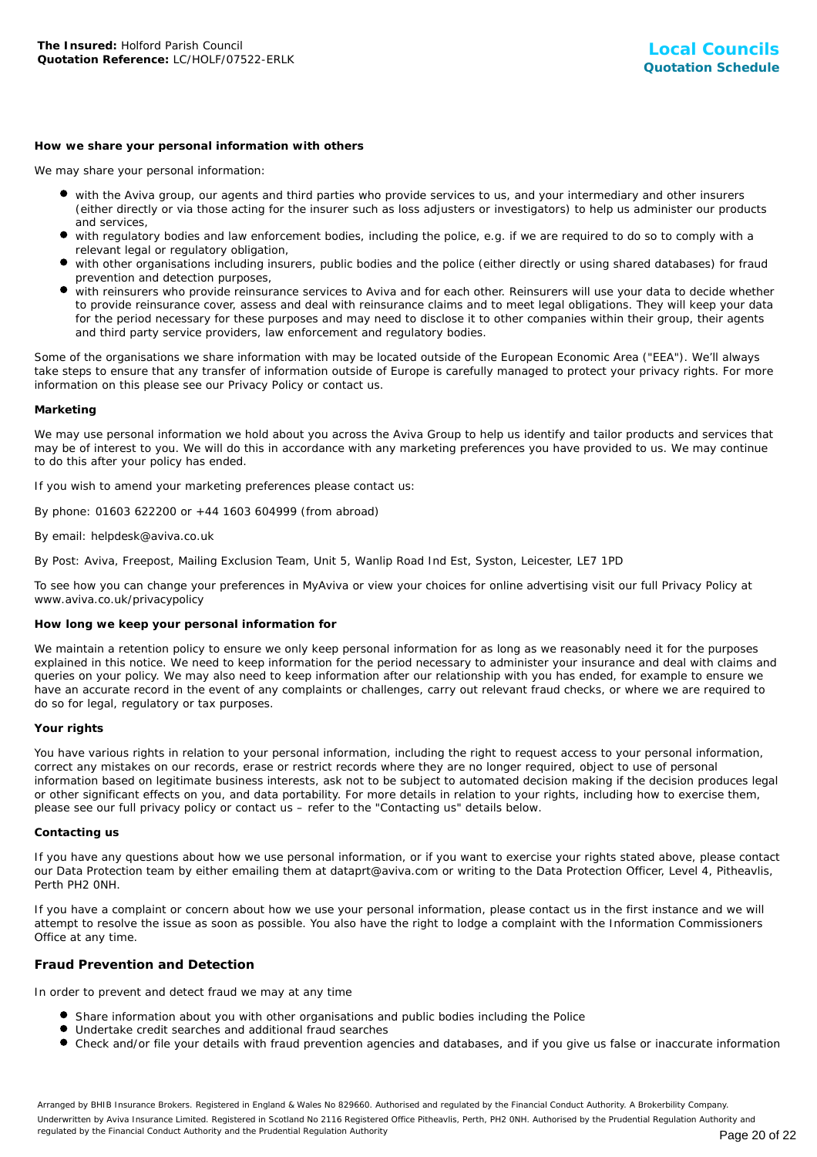#### **How we share your personal information with others**

We may share your personal information:

- with the Aviva group, our agents and third parties who provide services to us, and your intermediary and other insurers (either directly or via those acting for the insurer such as loss adjusters or investigators) to help us administer our products and services,
- with regulatory bodies and law enforcement bodies, including the police, e.g. if we are required to do so to comply with a relevant legal or regulatory obligation,
- with other organisations including insurers, public bodies and the police (either directly or using shared databases) for fraud prevention and detection purposes,
- with reinsurers who provide reinsurance services to Aviva and for each other. Reinsurers will use your data to decide whether to provide reinsurance cover, assess and deal with reinsurance claims and to meet legal obligations. They will keep your data for the period necessary for these purposes and may need to disclose it to other companies within their group, their agents and third party service providers, law enforcement and regulatory bodies.

Some of the organisations we share information with may be located outside of the European Economic Area ("EEA"). We'll always take steps to ensure that any transfer of information outside of Europe is carefully managed to protect your privacy rights. For more information on this please see our Privacy Policy or contact us.

#### **Marketing**

We may use personal information we hold about you across the Aviva Group to help us identify and tailor products and services that may be of interest to you. We will do this in accordance with any marketing preferences you have provided to us. We may continue to do this after your policy has ended.

If you wish to amend your marketing preferences please contact us:

By phone: 01603 622200 or +44 1603 604999 (from abroad)

#### By email: helpdesk@aviva.co.uk

By Post: Aviva, Freepost, Mailing Exclusion Team, Unit 5, Wanlip Road Ind Est, Syston, Leicester, LE7 1PD

To see how you can change your preferences in MyAviva or view your choices for online advertising visit our full Privacy Policy at www.aviva.co.uk/privacypolicy

#### **How long we keep your personal information for**

We maintain a retention policy to ensure we only keep personal information for as long as we reasonably need it for the purposes explained in this notice. We need to keep information for the period necessary to administer your insurance and deal with claims and queries on your policy. We may also need to keep information after our relationship with you has ended, for example to ensure we have an accurate record in the event of any complaints or challenges, carry out relevant fraud checks, or where we are required to do so for legal, regulatory or tax purposes.

#### **Your rights**

You have various rights in relation to your personal information, including the right to request access to your personal information, correct any mistakes on our records, erase or restrict records where they are no longer required, object to use of personal information based on legitimate business interests, ask not to be subject to automated decision making if the decision produces legal or other significant effects on you, and data portability. For more details in relation to your rights, including how to exercise them, please see our full privacy policy or contact us – refer to the "Contacting us" details below.

#### **Contacting us**

If you have any questions about how we use personal information, or if you want to exercise your rights stated above, please contact our Data Protection team by either emailing them at dataprt@aviva.com or writing to the Data Protection Officer, Level 4, Pitheavlis, Perth PH2 0NH.

If you have a complaint or concern about how we use your personal information, please contact us in the first instance and we will attempt to resolve the issue as soon as possible. You also have the right to lodge a complaint with the Information Commissioners Office at any time.

## **Fraud Prevention and Detection**

In order to prevent and detect fraud we may at any time

- **Share information about you with other organisations and public bodies including the Police**
- Undertake credit searches and additional fraud searches
- Check and/or file your details with fraud prevention agencies and databases, and if you give us false or inaccurate information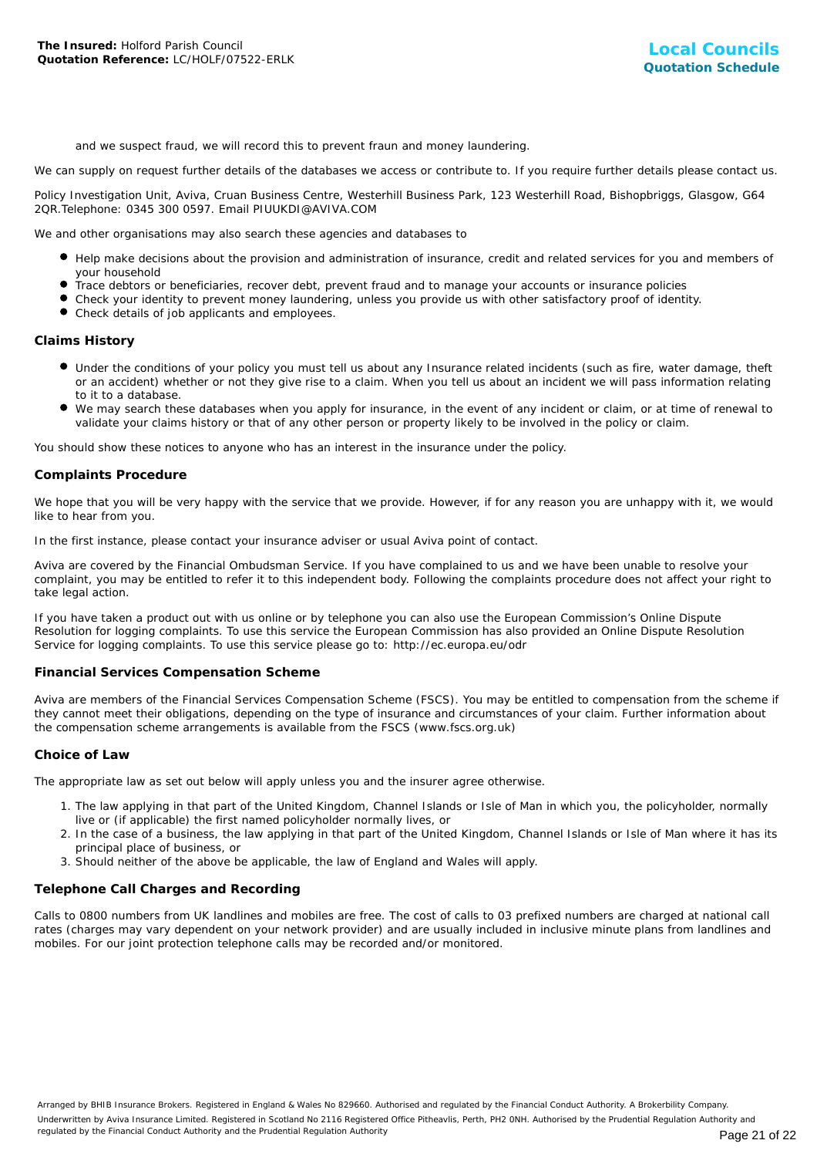and we suspect fraud, we will record this to prevent fraun and money laundering.

We can supply on request further details of the databases we access or contribute to. If you require further details please contact us.

Policy Investigation Unit, Aviva, Cruan Business Centre, Westerhill Business Park, 123 Westerhill Road, Bishopbriggs, Glasgow, G64 2QR.Telephone: 0345 300 0597. Email PIUUKDI@AVIVA.COM

We and other organisations may also search these agencies and databases to

- Help make decisions about the provision and administration of insurance, credit and related services for you and members of your household
- Trace debtors or beneficiaries, recover debt, prevent fraud and to manage your accounts or insurance policies
- Check your identity to prevent money laundering, unless you provide us with other satisfactory proof of identity.
- Check details of job applicants and employees.

## **Claims History**

- Under the conditions of your policy you must tell us about any Insurance related incidents (such as fire, water damage, theft or an accident) whether or not they give rise to a claim. When you tell us about an incident we will pass information relating to it to a database.
- We may search these databases when you apply for insurance, in the event of any incident or claim, or at time of renewal to validate your claims history or that of any other person or property likely to be involved in the policy or claim.

You should show these notices to anyone who has an interest in the insurance under the policy.

## **Complaints Procedure**

We hope that you will be very happy with the service that we provide. However, if for any reason you are unhappy with it, we would like to hear from you.

In the first instance, please contact your insurance adviser or usual Aviva point of contact.

Aviva are covered by the Financial Ombudsman Service. If you have complained to us and we have been unable to resolve your complaint, you may be entitled to refer it to this independent body. Following the complaints procedure does not affect your right to take legal action.

If you have taken a product out with us online or by telephone you can also use the European Commission's Online Dispute Resolution for logging complaints. To use this service the European Commission has also provided an Online Dispute Resolution Service for logging complaints. To use this service please go to: http://ec.europa.eu/odr

#### **Financial Services Compensation Scheme**

Aviva are members of the Financial Services Compensation Scheme (FSCS). You may be entitled to compensation from the scheme if they cannot meet their obligations, depending on the type of insurance and circumstances of your claim. Further information about the compensation scheme arrangements is available from the FSCS (www.fscs.org.uk)

#### **Choice of Law**

The appropriate law as set out below will apply unless you and the insurer agree otherwise.

- 1. The law applying in that part of the United Kingdom, Channel Islands or Isle of Man in which you, the policyholder, normally live or (if applicable) the first named policyholder normally lives, or
- 2. In the case of a business, the law applying in that part of the United Kingdom, Channel Islands or Isle of Man where it has its principal place of business, or
- 3. Should neither of the above be applicable, the law of England and Wales will apply.

## **Telephone Call Charges and Recording**

Calls to 0800 numbers from UK landlines and mobiles are free. The cost of calls to 03 prefixed numbers are charged at national call rates (charges may vary dependent on your network provider) and are usually included in inclusive minute plans from landlines and mobiles. For our joint protection telephone calls may be recorded and/or monitored.